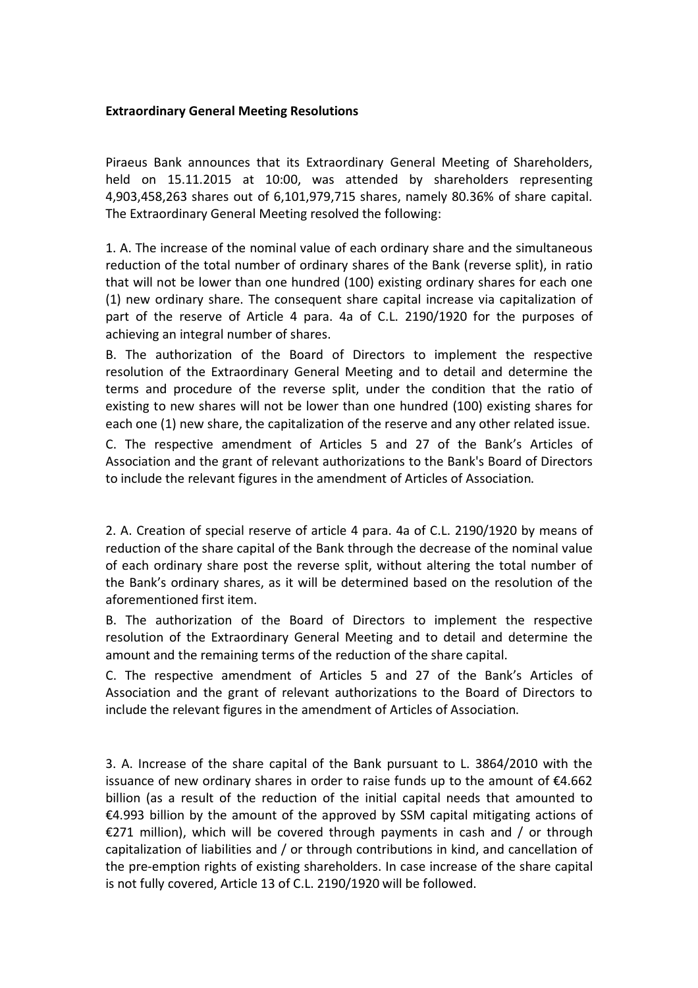## **Extraordinary General Meeting Resolutions**

Piraeus Bank announces that its Extraordinary General Meeting of Shareholders, held on 15.11.2015 at 10:00, was attended by shareholders representing 4,903,458,263 shares out of 6,101,979,715 shares, namely 80.36% of share capital. The Extraordinary General Meeting resolved the following:

1. A. The increase of the nominal value of each ordinary share and the simultaneous reduction of the total number of ordinary shares of the Bank (reverse split), in ratio that will not be lower than one hundred (100) existing ordinary shares for each one (1) new ordinary share. The consequent share capital increase via capitalization of part of the reserve of Article 4 para. 4a of C.L. 2190/1920 for the purposes of achieving an integral number of shares.

B. The authorization of the Board of Directors to implement the respective resolution of the Extraordinary General Meeting and to detail and determine the terms and procedure of the reverse split, under the condition that the ratio of existing to new shares will not be lower than one hundred (100) existing shares for each one (1) new share, the capitalization of the reserve and any other related issue.

C. The respective amendment of Articles 5 and 27 of the Bank's Articles of Association and the grant of relevant authorizations to the Bank's Board of Directors to include the relevant figures in the amendment of Articles of Association.

2. A. Creation of special reserve of article 4 para. 4a of C.L. 2190/1920 by means of reduction of the share capital of the Bank through the decrease of the nominal value of each ordinary share post the reverse split, without altering the total number of the Bank's ordinary shares, as it will be determined based on the resolution of the aforementioned first item.

B. The authorization of the Board of Directors to implement the respective resolution of the Extraordinary General Meeting and to detail and determine the amount and the remaining terms of the reduction of the share capital.

C. The respective amendment of Articles 5 and 27 of the Bank's Articles of Association and the grant of relevant authorizations to the Board of Directors to include the relevant figures in the amendment of Articles of Association.

3. A. Increase of the share capital of the Bank pursuant to L. 3864/2010 with the issuance of new ordinary shares in order to raise funds up to the amount of  $E4.662$ billion (as a result of the reduction of the initial capital needs that amounted to €4.993 billion by the amount of the approved by SSM capital mitigating actions of €271 million), which will be covered through payments in cash and / or through capitalization of liabilities and / or through contributions in kind, and cancellation of the pre-emption rights of existing shareholders. In case increase of the share capital is not fully covered, Article 13 of C.L. 2190/1920 will be followed.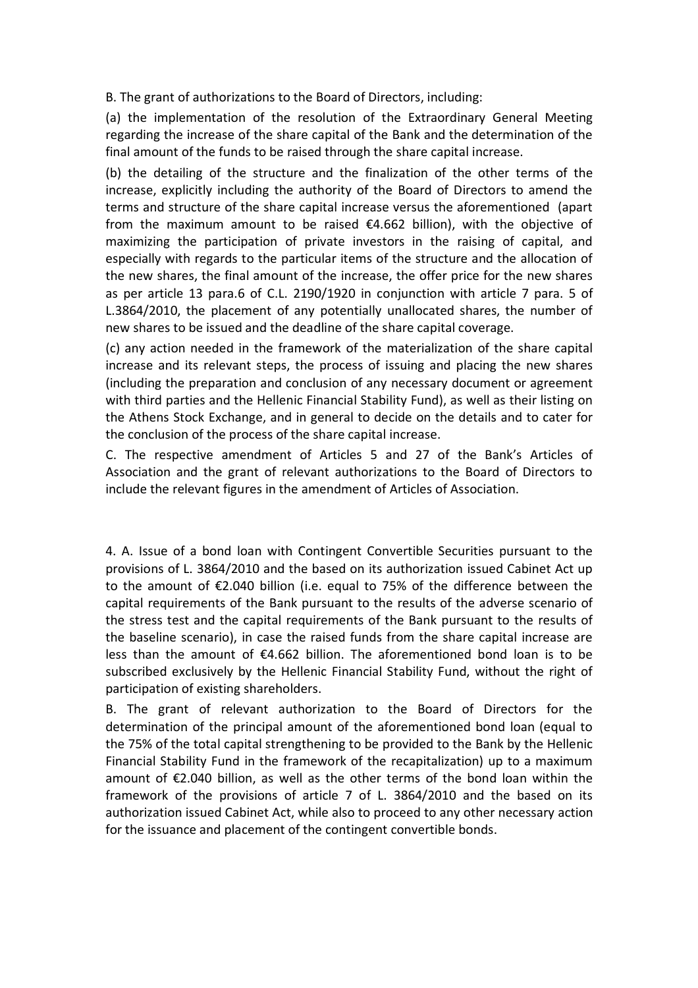B. The grant of authorizations to the Board of Directors, including:

(a) the implementation of the resolution of the Extraordinary General Meeting regarding the increase of the share capital of the Bank and the determination of the final amount of the funds to be raised through the share capital increase.

(b) the detailing of the structure and the finalization of the other terms of the increase, explicitly including the authority of the Board of Directors to amend the terms and structure of the share capital increase versus the aforementioned (apart from the maximum amount to be raised €4.662 billion), with the objective of maximizing the participation of private investors in the raising of capital, and especially with regards to the particular items of the structure and the allocation of the new shares, the final amount of the increase, the offer price for the new shares as per article 13 para.6 of C.L. 2190/1920 in conjunction with article 7 para. 5 of L.3864/2010, the placement of any potentially unallocated shares, the number of new shares to be issued and the deadline of the share capital coverage.

(c) any action needed in the framework of the materialization of the share capital increase and its relevant steps, the process of issuing and placing the new shares (including the preparation and conclusion of any necessary document or agreement with third parties and the Hellenic Financial Stability Fund), as well as their listing on the Athens Stock Exchange, and in general to decide on the details and to cater for the conclusion of the process of the share capital increase.

C. The respective amendment of Articles 5 and 27 of the Bank's Articles of Association and the grant of relevant authorizations to the Board of Directors to include the relevant figures in the amendment of Articles of Association.

4. A. Issue of a bond loan with Contingent Convertible Securities pursuant to the provisions of L. 3864/2010 and the based on its authorization issued Cabinet Act up to the amount of €2.040 billion (i.e. equal to 75% of the difference between the capital requirements of the Bank pursuant to the results of the adverse scenario of the stress test and the capital requirements of the Bank pursuant to the results of the baseline scenario), in case the raised funds from the share capital increase are less than the amount of  $\epsilon$ 4.662 billion. The aforementioned bond loan is to be subscribed exclusively by the Hellenic Financial Stability Fund, without the right of participation of existing shareholders.

B. The grant of relevant authorization to the Board of Directors for the determination of the principal amount of the aforementioned bond loan (equal to the 75% of the total capital strengthening to be provided to the Bank by the Hellenic Financial Stability Fund in the framework of the recapitalization) up to a maximum amount of €2.040 billion, as well as the other terms of the bond loan within the framework of the provisions of article 7 of L. 3864/2010 and the based on its authorization issued Cabinet Act, while also to proceed to any other necessary action for the issuance and placement of the contingent convertible bonds.